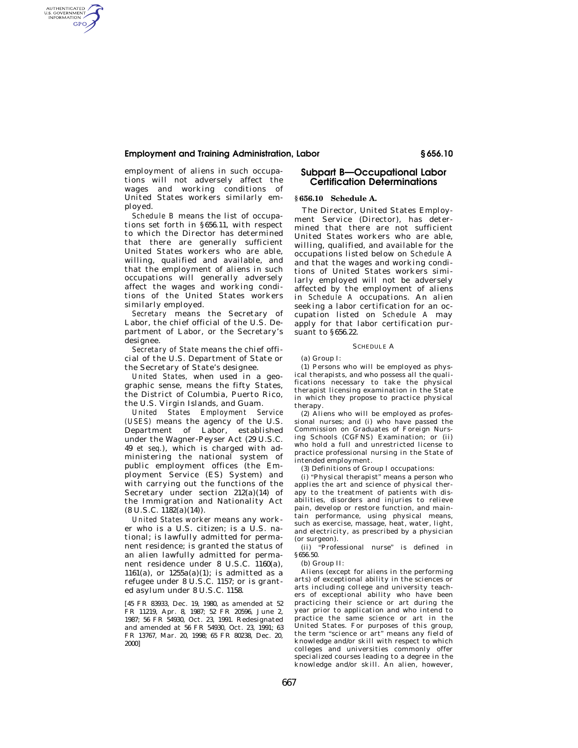## **Employment and Training Administration, Labor § 656.10**

employment of aliens in such occupations will not adversely affect the wages and working conditions of United States workers similarly employed.

AUTHENTICATED<br>U.S. GOVERNMENT<br>INFORMATION GPO

> *Schedule B* means the list of occupations set forth in §656.11, with respect to which the Director has determined that there are generally sufficient United States workers who are able, willing, qualified and available, and that the employment of aliens in such occupations will generally adversely affect the wages and working conditions of the United States workers similarly employed.

> *Secretary* means the Secretary of Labor, the chief official of the U.S. Department of Labor, or the Secretary's designee.

> *Secretary of State* means the chief official of the U.S. Department of State or the Secretary of State's designee.

> *United States,* when used in a geographic sense, means the fifty States, the District of Columbia, Puerto Rico, the U.S. Virgin Islands, and Guam.

> *United States Employment Service (USES)* means the agency of the U.S. Department of Labor, established under the Wagner-Peyser Act (29 U.S.C. 49 *et seq.*), which is charged with administering the national system of public employment offices (the Employment Service (ES) System) and with carrying out the functions of the Secretary under section 212(a)(14) of the Immigration and Nationality Act  $(8 U.S.C. 1182(a)(14)).$

> *United States worker* means any worker who is a U.S. citizen; is a  $\tilde{U}$ .S. national; is lawfully admitted for permanent residence; is granted the status of an alien lawfully admitted for permanent residence under 8 U.S.C. 1160(a), 1161(a), or  $1255a(a)(1)$ ; is admitted as a refugee under 8 U.S.C. 1157; or is granted asylum under 8 U.S.C. 1158.

> [45 FR 83933, Dec. 19, 1980, as amended at 52 FR 11219, Apr. 8, 1987; 52 FR 20596, June 2, 1987; 56 FR 54930, Oct. 23, 1991. Redesignated and amended at 56 FR 54930, Oct. 23, 1991; 63 FR 13767, Mar. 20, 1998; 65 FR 80238, Dec. 20, 2000]

# **Subpart B—Occupational Labor Certification Determinations**

### **§ 656.10 Schedule A.**

The Director, United States Employment Service (Director), has determined that there are not sufficient United States workers who are able, willing, qualified, and available for the occupations listed below on *Schedule A*  and that the wages and working conditions of United States workers similarly employed will not be adversely affected by the employment of aliens in *Schedule A* occupations. An alien seeking a labor certification for an occupation listed on *Schedule A* may apply for that labor certification pursuant to §656.22.

### SCHEDULE A

(a) Group I:

(1) Persons who will be employed as physical therapists, and who possess all the qualifications necessary to take the physical therapist licensing examination in the State in which they propose to practice physical therapy.

(2) Aliens who will be employed as professional nurses; and (i) who have passed the Commission on Graduates of Foreign Nursing Schools (CGFNS) Examination; or (ii) who hold a full and unrestricted license to practice professional nursing in the State of intended employment.

(3) Definitions of Group I occupations:

(i) "Physical therapist" means a person who applies the art and science of physical therapy to the treatment of patients with disabilities, disorders and injuries to relieve pain, develop or restore function, and maintain performance, using physical means, such as exercise, massage, heat, water, light, and electricity, as prescribed by a physician (or surgeon).

(ii) ''Professional nurse'' is defined in §656.50.

(b) Group II:

Aliens (except for aliens in the performing arts) of exceptional ability in the sciences or arts including college and university teachers of exceptional ability who have been practicing their science or art during the year prior to application and who intend to practice the same science or art in the United States. For purposes of this group, the term "science or art" means any field of knowledge and/or skill with respect to which colleges and universities commonly offer specialized courses leading to a degree in the knowledge and/or skill. An alien, however,